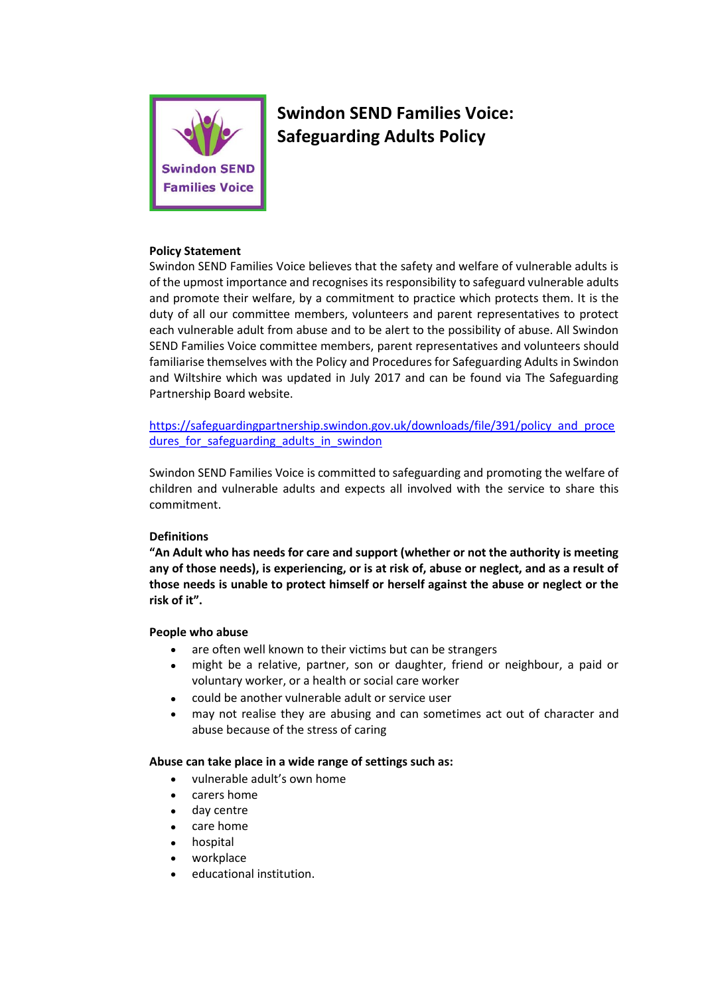

# **Swindon SEND Families Voice: Safeguarding Adults Policy**

## **Policy Statement**

Swindon SEND Families Voice believes that the safety and welfare of vulnerable adults is of the upmost importance and recognises its responsibility to safeguard vulnerable adults and promote their welfare, by a commitment to practice which protects them. It is the duty of all our committee members, volunteers and parent representatives to protect each vulnerable adult from abuse and to be alert to the possibility of abuse. All Swindon SEND Families Voice committee members, parent representatives and volunteers should familiarise themselves with the Policy and Procedures for Safeguarding Adults in Swindon and Wiltshire which was updated in July 2017 and can be found via The Safeguarding Partnership Board website.

[https://safeguardingpartnership.swindon.gov.uk/downloads/file/391/policy\\_and\\_proce](https://safeguardingpartnership.swindon.gov.uk/downloads/file/391/policy_and_procedures_for_safeguarding_adults_in_swindon) dures for safeguarding adults in swindon

Swindon SEND Families Voice is committed to safeguarding and promoting the welfare of children and vulnerable adults and expects all involved with the service to share this commitment.

## **Definitions**

**"An Adult who has needs for care and support (whether or not the authority is meeting any of those needs), is experiencing, or is at risk of, abuse or neglect, and as a result of those needs is unable to protect himself or herself against the abuse or neglect or the risk of it".** 

#### **People who abuse**

- are often well known to their victims but can be strangers
- might be a relative, partner, son or daughter, friend or neighbour, a paid or voluntary worker, or a health or social care worker
- could be another vulnerable adult or service user
- may not realise they are abusing and can sometimes act out of character and abuse because of the stress of caring

#### **Abuse can take place in a wide range of settings such as:**

- vulnerable adult's own home
- carers home
- day centre
- care home
- hospital
- workplace
- educational institution.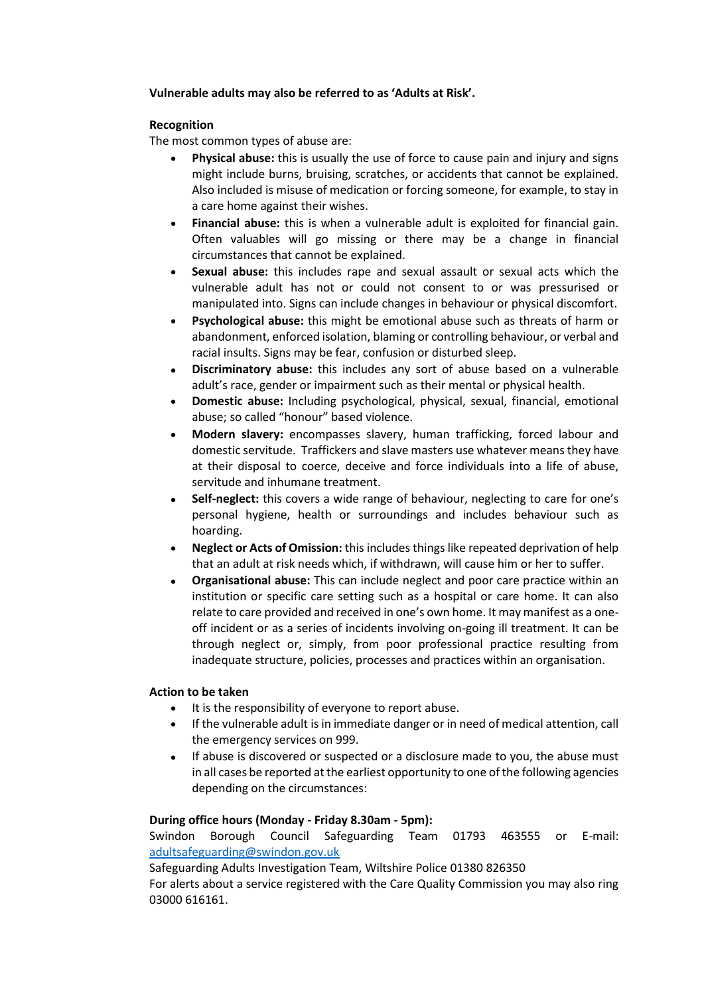## **Vulnerable adults may also be referred to as 'Adults at Risk'.**

## **Recognition**

The most common types of abuse are:

- **Physical abuse:** this is usually the use of force to cause pain and injury and signs might include burns, bruising, scratches, or accidents that cannot be explained. Also included is misuse of medication or forcing someone, for example, to stay in a care home against their wishes.
- **Financial abuse:** this is when a vulnerable adult is exploited for financial gain. Often valuables will go missing or there may be a change in financial circumstances that cannot be explained.
- **Sexual abuse:** this includes rape and sexual assault or sexual acts which the vulnerable adult has not or could not consent to or was pressurised or manipulated into. Signs can include changes in behaviour or physical discomfort.
- **Psychological abuse:** this might be emotional abuse such as threats of harm or abandonment, enforced isolation, blaming or controlling behaviour, or verbal and racial insults. Signs may be fear, confusion or disturbed sleep.
- **Discriminatory abuse:** this includes any sort of abuse based on a vulnerable adult's race, gender or impairment such as their mental or physical health.
- **Domestic abuse:** Including psychological, physical, sexual, financial, emotional abuse; so called "honour" based violence.
- **Modern slavery:** encompasses slavery, human trafficking, forced labour and domestic servitude. Traffickers and slave masters use whatever means they have at their disposal to coerce, deceive and force individuals into a life of abuse, servitude and inhumane treatment.
- **Self-neglect:** this covers a wide range of behaviour, neglecting to care for one's personal hygiene, health or surroundings and includes behaviour such as hoarding.
- **Neglect or Acts of Omission:** this includes things like repeated deprivation of help that an adult at risk needs which, if withdrawn, will cause him or her to suffer.
- **Organisational abuse:** This can include neglect and poor care practice within an institution or specific care setting such as a hospital or care home. It can also relate to care provided and received in one's own home. It may manifest as a oneoff incident or as a series of incidents involving on-going ill treatment. It can be through neglect or, simply, from poor professional practice resulting from inadequate structure, policies, processes and practices within an organisation.

## **Action to be taken**

- It is the responsibility of everyone to report abuse.
- If the vulnerable adult is in immediate danger or in need of medical attention, call the emergency services on 999.
- If abuse is discovered or suspected or a disclosure made to you, the abuse must in all cases be reported at the earliest opportunity to one of the following agencies depending on the circumstances:

## **During office hours (Monday - Friday 8.30am - 5pm):**

Swindon Borough Council Safeguarding Team 01793 463555 or E-mail: adultsafeguarding@swindon.gov.uk

Safeguarding Adults Investigation Team, Wiltshire Police 01380 826350

For alerts about a service registered with the Care Quality Commission you may also ring 03000 616161.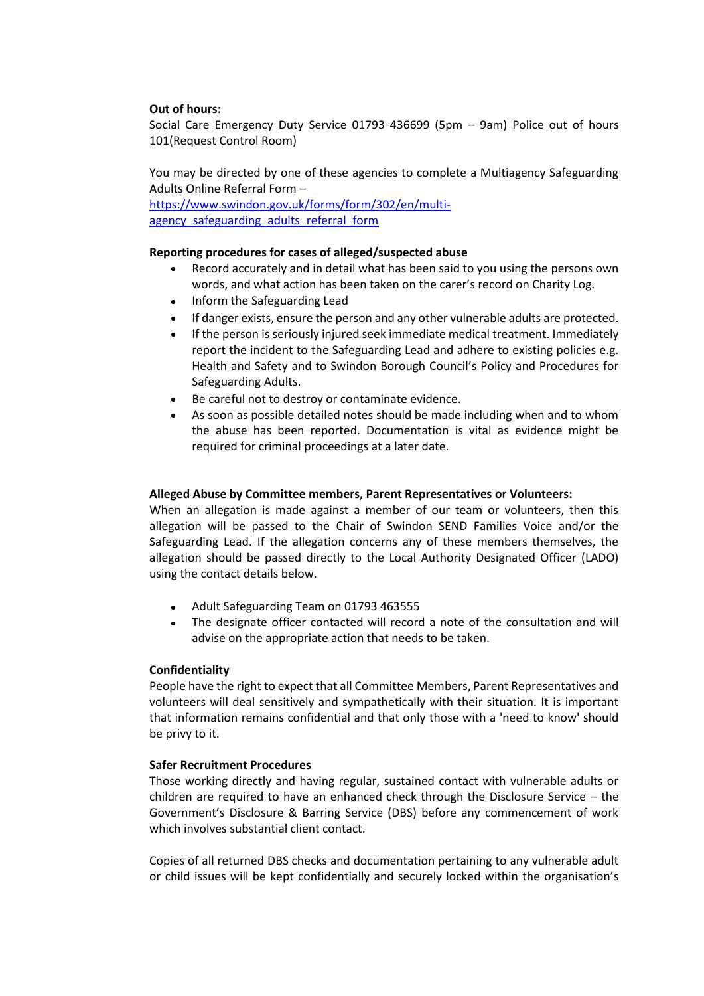## **Out of hours:**

Social Care Emergency Duty Service 01793 436699 (5pm – 9am) Police out of hours 101(Request Control Room)

You may be directed by one of these agencies to complete a Multiagency Safeguarding Adults Online Referral Form –

[https://www.swindon.gov.uk/forms/form/302/en/multi](https://www.swindon.gov.uk/forms/form/302/en/multi-agency_safeguarding_adults_referral_form)agency safeguarding adults referral form

## **Reporting procedures for cases of alleged/suspected abuse**

- Record accurately and in detail what has been said to you using the persons own words, and what action has been taken on the carer's record on Charity Log.
- Inform the Safeguarding Lead
- If danger exists, ensure the person and any other vulnerable adults are protected.
- If the person is seriously injured seek immediate medical treatment. Immediately report the incident to the Safeguarding Lead and adhere to existing policies e.g. Health and Safety and to Swindon Borough Council's Policy and Procedures for Safeguarding Adults.
- Be careful not to destroy or contaminate evidence.
- As soon as possible detailed notes should be made including when and to whom the abuse has been reported. Documentation is vital as evidence might be required for criminal proceedings at a later date.

## **Alleged Abuse by Committee members, Parent Representatives or Volunteers:**

When an allegation is made against a member of our team or volunteers, then this allegation will be passed to the Chair of Swindon SEND Families Voice and/or the Safeguarding Lead. If the allegation concerns any of these members themselves, the allegation should be passed directly to the Local Authority Designated Officer (LADO) using the contact details below.

- Adult Safeguarding Team on 01793 463555
- The designate officer contacted will record a note of the consultation and will advise on the appropriate action that needs to be taken.

## **Confidentiality**

People have the right to expect that all Committee Members, Parent Representatives and volunteers will deal sensitively and sympathetically with their situation. It is important that information remains confidential and that only those with a 'need to know' should be privy to it.

## **Safer Recruitment Procedures**

Those working directly and having regular, sustained contact with vulnerable adults or children are required to have an enhanced check through the Disclosure Service  $-$  the Government's Disclosure & Barring Service (DBS) before any commencement of work which involves substantial client contact.

Copies of all returned DBS checks and documentation pertaining to any vulnerable adult or child issues will be kept confidentially and securely locked within the organisation's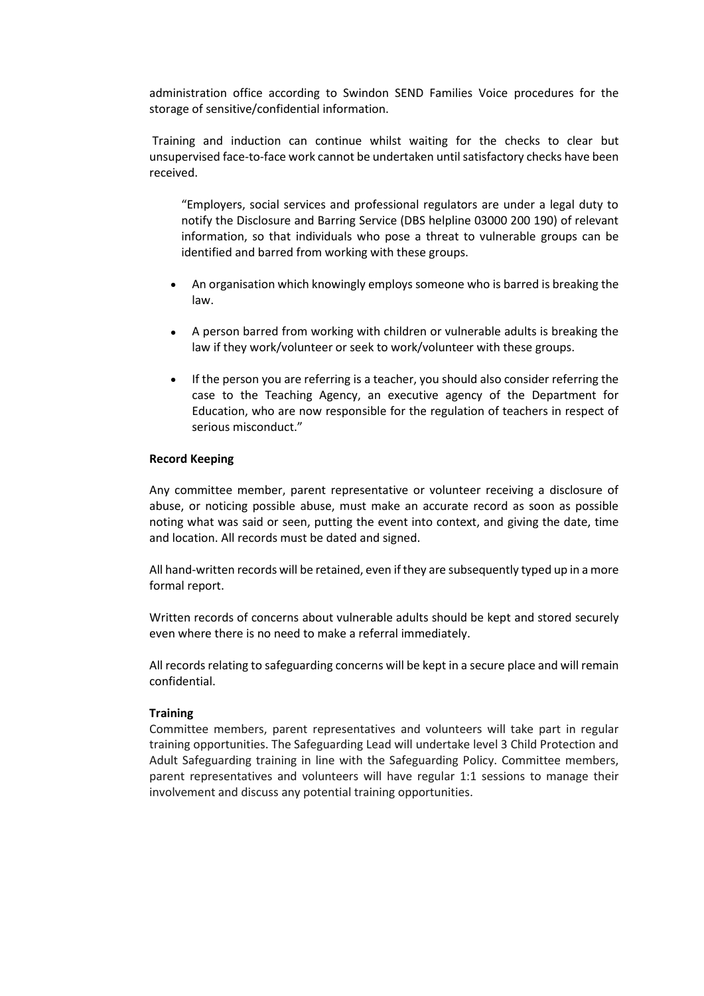administration office according to Swindon SEND Families Voice procedures for the storage of sensitive/confidential information.

Training and induction can continue whilst waiting for the checks to clear but unsupervised face-to-face work cannot be undertaken until satisfactory checks have been received.

"Employers, social services and professional regulators are under a legal duty to notify the Disclosure and Barring Service (DBS helpline 03000 200 190) of relevant information, so that individuals who pose a threat to vulnerable groups can be identified and barred from working with these groups.

- An organisation which knowingly employs someone who is barred is breaking the law.
- A person barred from working with children or vulnerable adults is breaking the law if they work/volunteer or seek to work/volunteer with these groups.
- If the person you are referring is a teacher, you should also consider referring the case to the Teaching Agency, an executive agency of the Department for Education, who are now responsible for the regulation of teachers in respect of serious misconduct."

#### **Record Keeping**

Any committee member, parent representative or volunteer receiving a disclosure of abuse, or noticing possible abuse, must make an accurate record as soon as possible noting what was said or seen, putting the event into context, and giving the date, time and location. All records must be dated and signed.

All hand-written records will be retained, even if they are subsequently typed up in a more formal report.

Written records of concerns about vulnerable adults should be kept and stored securely even where there is no need to make a referral immediately.

All records relating to safeguarding concerns will be kept in a secure place and will remain confidential.

#### **Training**

Committee members, parent representatives and volunteers will take part in regular training opportunities. The Safeguarding Lead will undertake level 3 Child Protection and Adult Safeguarding training in line with the Safeguarding Policy. Committee members, parent representatives and volunteers will have regular 1:1 sessions to manage their involvement and discuss any potential training opportunities.